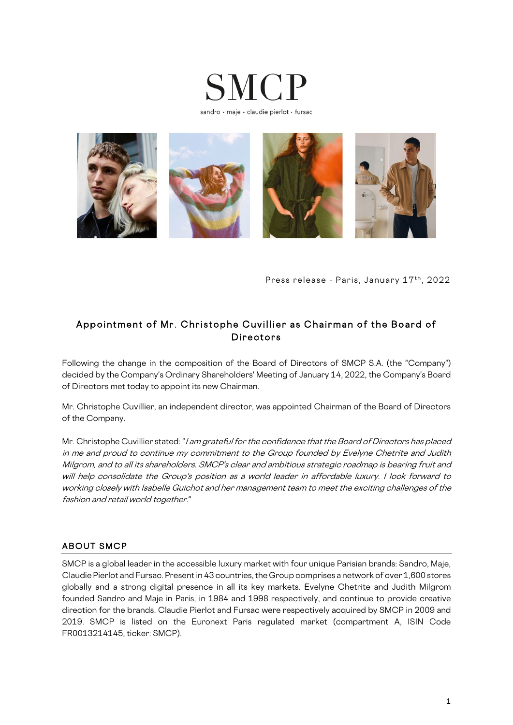



Press release - Paris, January 17th, 2022

## Appointment of Mr. Christophe Cuvillier as Chairman of the Board of Directors

Following the change in the composition of the Board of Directors of SMCP S.A. (the "Company") decided by the Company's Ordinary Shareholders' Meeting of January 14, 2022, the Company's Board of Directors met today to appoint its new Chairman.

Mr. Christophe Cuvillier, an independent director, was appointed Chairman of the Board of Directors of the Company.

Mr. Christophe Cuvillier stated: "I am grateful for the confidence that the Board of Directors has placed in me and proud to continue my commitment to the Group founded by Evelyne Chetrite and Judith Milgrom, and to all its shareholders. SMCP's clear and ambitious strategic roadmap is bearing fruit and will help consolidate the Group's position as a world leader in affordable luxury. I look forward to working closely with Isabelle Guichot and her management team to meet the exciting challenges of the fashion and retail world together."

### ABOUT SMCP

SMCP is a global leader in the accessible luxury market with four unique Parisian brands: Sandro, Maje, Claudie Pierlot and Fursac. Present in 43 countries, the Group comprises a network of over 1,600 stores globally and a strong digital presence in all its key markets. Evelyne Chetrite and Judith Milgrom founded Sandro and Maje in Paris, in 1984 and 1998 respectively, and continue to provide creative direction for the brands. Claudie Pierlot and Fursac were respectively acquired by SMCP in 2009 and 2019. SMCP is listed on the Euronext Paris regulated market (compartment A, ISIN Code FR0013214145, ticker: SMCP).